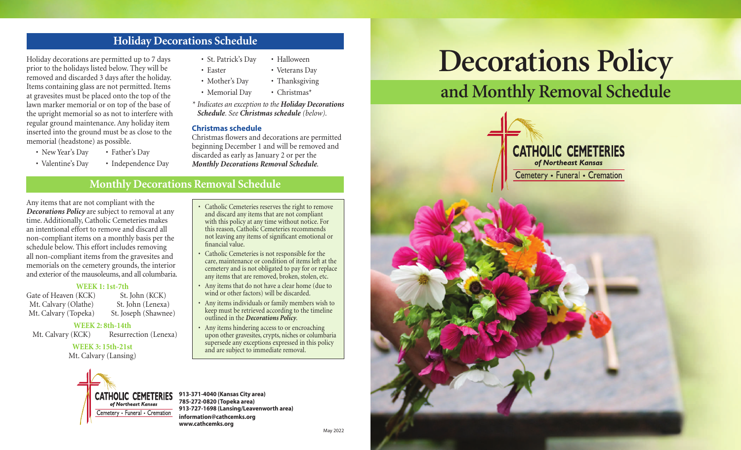# **Holiday Decorations Schedule**

Holiday decorations are permitted up to 7 days prior to the holidays listed below. They will be removed and discarded 3 days after the holiday. Items containing glass are not permitted. Items at gravesites must be placed onto the top of the lawn marker memorial or on top of the base of the upright memorial so as not to interfere with regular ground maintenance. Any holiday item inserted into the ground must be as close to the memorial (headstone) as possible.

- New Year's Day Father's Day
- Valentine's Day Independence Day
- St. Patrick's Day Halloween
- Easter Veterans Dav
- Mother's Day Thanksgiving
- Memorial Day Christmas\*

*\* Indicates an exception to the Holiday Decorations Schedule. See Christmas schedule (below).*

### **Christmas schedule**

financial value.

Christmas flowers and decorations are permitted beginning December 1 and will be removed and discarded as early as January 2 or per the *Monthly Decorations Removal Schedule*.

• Catholic Cemeteries reserves the right to remove and discard any items that are not compliant with this policy at any time without notice. For this reason, Catholic Cemeteries recommends not leaving any items of significant emotional or

Catholic Cemeteries is not responsible for the care, maintenance or condition of items left at the cemetery and is not obligated to pay for or replace any items that are removed, broken, stolen, etc. • Any items that do not have a clear home (due to wind or other factors) will be discarded. • Any items individuals or family members wish to keep must be retrieved according to the timeline

outlined in the *Decorations Policy*.

and are subject to immediate removal.

• Any items hindering access to or encroaching upon other gravesites, crypts, niches or columbaria supersede any exceptions expressed in this policy

# **Monthly Decorations Removal Schedule**

Any items that are not compliant with the *Decorations Policy* are subject to removal at any time. Additionally, Catholic Cemeteries makes an intentional effort to remove and discard all non-compliant items on a monthly basis per the schedule below. This effort includes removing all non-compliant items from the gravesites and memorials on the cemetery grounds, the interior and exterior of the mausoleums, and all columbaria.

# **WEEK 1: 1st-7th**

Gate of Heaven (KCK) St. John (KCK) Mt. Calvary (Olathe) St. John (Lenexa) Mt. Calvary (Topeka) St. Joseph (Shawnee)

#### **WEEK 2: 8th-14th**

Mt. Calvary (KCK) Resurrection (Lenexa)

**WEEK 3: 15th-21st** Mt. Calvary (Lansing)



**913-371-4040 (Kansas City area) 785-272-0820 (Topeka area) 913-727-1698 (Lansing/Leavenworth area) information@cathcemks.org www.cathcemks.org**

# **Decorations Policy**

# **and Monthly Removal Schedule**